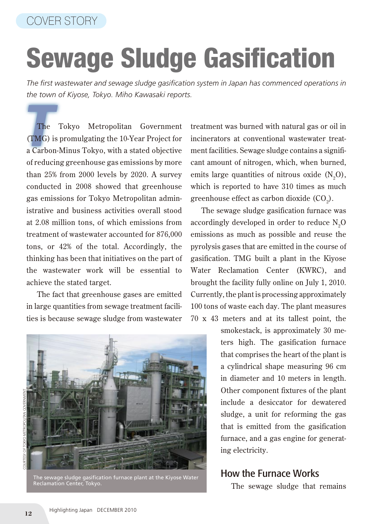## Sewage Sludge Gasification

*The first wastewater and sewage sludge gasification system in Japan has commenced operations in the town of Kiyose, Tokyo. Miho Kawasaki reports.*

The Tokyo Metropolitan Government<br>(TMG) is promulgating the 10-Year Project for The Tokyo Metropolitan Government a Carbon-Minus Tokyo, with a stated objective of reducing greenhouse gas emissions by more than 25% from 2000 levels by 2020. A survey conducted in 2008 showed that greenhouse gas emissions for Tokyo Metropolitan administrative and business activities overall stood at 2.08 million tons, of which emissions from treatment of wastewater accounted for 876,000 tons, or 42% of the total. Accordingly, the thinking has been that initiatives on the part of the wastewater work will be essential to achieve the stated target.

The fact that greenhouse gases are emitted in large quantities from sewage treatment facilities is because sewage sludge from wastewater



The sewage sludge gasification furnace plant at the Kiyose Water Reclamation Center, Tokyo.

treatment was burned with natural gas or oil in incinerators at conventional wastewater treatment facilities. Sewage sludge contains a significant amount of nitrogen, which, when burned, emits large quantities of nitrous oxide  $(N_2O)$ , which is reported to have 310 times as much greenhouse effect as carbon dioxide (CO<sub>2</sub>).

The sewage sludge gasification furnace was accordingly developed in order to reduce  $\text{N}_{2}\text{O}$ emissions as much as possible and reuse the pyrolysis gases that are emitted in the course of gasification. TMG built a plant in the Kiyose Water Reclamation Center (KWRC), and brought the facility fully online on July 1, 2010. Currently, the plant is processing approximately 100 tons of waste each day. The plant measures 70 x 43 meters and at its tallest point, the

> smokestack, is approximately 30 meters high. The gasification furnace that comprises the heart of the plant is a cylindrical shape measuring 96 cm in diameter and 10 meters in length. Other component fixtures of the plant include a desiccator for dewatered sludge, a unit for reforming the gas that is emitted from the gasification furnace, and a gas engine for generating electricity.

## How the Furnace Works

The sewage sludge that remains